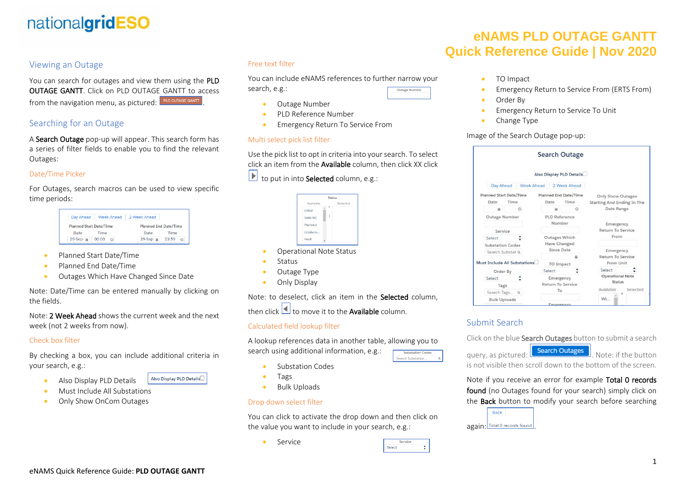# nationalgridESO

### Viewing an Outage

You can search for outages and view them using the PLD OUTAGE GANTT. Click on PLD OUTAGE GANTT to access from the navigation menu, as pictured: PLD OUTAGE GANTT

## Searching for an Outage

A Search Outage pop-up will appear. This search form has a series of filter fields to enable you to find the relevant Outages:

#### Date/Time Picker

For Outages, search macros can be used to view specific time periods:

| Day Ahead                      | <b>Week Ahead</b> | 2 Week Ahead                 |       |  |
|--------------------------------|-------------------|------------------------------|-------|--|
| <b>Planned Start Date/Time</b> |                   | <b>Planned End Date/Time</b> |       |  |
| Date                           | Time              | Date                         | Time  |  |
| $29-$ Sep $ \equiv$            | 00:00<br>ര        | $29-$ Sep $\cdot$ $\equiv$   | 23:59 |  |

- Planned Start Date/Time
- Planned End Date/Time
- Outages Which Have Changed Since Date

Note: Date/Time can be entered manually by clicking on the fields.

Note: 2 Week Ahead shows the current week and the next week (not 2 weeks from now).

#### Check box filter

By checking a box, you can include additional criteria in your search, e.g.:

- Also Display PLD Details
- Must Include All Substations
- Only Show OnCom Outages

#### Free text filter

You can include eNAMS references to further narrow your

Outage Number

search, e.g.:

- Outage Number
- PLD Reference Number
- Emergency Return To Service From

#### Multi select pick list filter

Use the pick list to opt in criteria into your search. To select click an item from the Available column, then click XX click

 $\Box$  to put in into **Selected** column, e.g.:

|                | <b>Status</b> |  |          |  |  |  |
|----------------|---------------|--|----------|--|--|--|
| Available      |               |  | Selected |  |  |  |
| <b>Initial</b> |               |  |          |  |  |  |
| With SO        |               |  |          |  |  |  |
| Planned        |               |  |          |  |  |  |
| Unplann        |               |  |          |  |  |  |
| Fault          |               |  |          |  |  |  |

- Operational Note Status
- **Status**
- Outage Type
- Only Display

Note: to deselect, click an item in the Selected column, then click  $\Box$  to move it to the **Available** column.

#### Calculated field lookup filter

A lookup references data in another table, allowing you to search using additional information, e.g.: **Jearch Substation** 

- Substation Codes
- Tags
- Bulk Uploads

#### Drop down select filter

You can click to activate the drop down and then click on the value you want to include in your search, e.g.:

> Service Select

**Service** 

# **eNAMS PLD OUTAGE GANTT Quick Reference Guide | Nov 2020**

- TO Impact
- Emergency Return to Service From (ERTS From)
- Order Bv
- Emergency Return to Service To Unit
- Change Type

#### Image of the Search Outage pop-up:

|                                                         |                     | <b>Search Outage</b>              |                              |                                   |                         |  |  |
|---------------------------------------------------------|---------------------|-----------------------------------|------------------------------|-----------------------------------|-------------------------|--|--|
|                                                         |                     | Also Display PLD Details          |                              |                                   |                         |  |  |
| Day Ahead                                               |                     | <b>Week Ahead</b><br>2 Week Ahead |                              |                                   |                         |  |  |
| <b>Planned Start Date/Time</b><br>Planned End Date/Time |                     |                                   |                              | <b>Only Show Outages</b>          |                         |  |  |
| Date                                                    | Time                | Date                              | Time                         | <b>Starting And Ending In The</b> |                         |  |  |
| 蒜                                                       | $\circ$             | 关                                 | $\circ$                      | Date Range                        |                         |  |  |
| Outage Number                                           |                     |                                   | <b>PLD Reference</b>         |                                   |                         |  |  |
|                                                         |                     | Number                            |                              | Emergency                         |                         |  |  |
| Service                                                 |                     |                                   |                              |                                   | Return To Service       |  |  |
| Select                                                  |                     |                                   | From<br><b>Outages Which</b> |                                   |                         |  |  |
| <b>Substation Codes</b>                                 |                     |                                   | Have Changed                 |                                   |                         |  |  |
| Search Substat Q                                        |                     |                                   | Since Date                   |                                   | Emergency               |  |  |
|                                                         |                     | 关                                 | Return To Service            |                                   |                         |  |  |
| <b>Must Include All Substations</b>                     |                     |                                   | <b>TO Impact</b>             |                                   | From Unit               |  |  |
|                                                         | Order By            | Select                            |                              | Select                            |                         |  |  |
| Select                                                  |                     |                                   | Emergency                    |                                   | <b>Operational Note</b> |  |  |
| Tags                                                    |                     |                                   | <b>Return To Service</b>     |                                   | Status                  |  |  |
|                                                         | Search Tags<br>Q    |                                   |                              | Available<br>Selected             |                         |  |  |
|                                                         | <b>Bulk Uploads</b> |                                   |                              | Wi                                |                         |  |  |
|                                                         |                     | Emergency                         |                              |                                   |                         |  |  |

## Submit Search

Click on the blue **Search Outages** button to submit a search

query, as pictured: **Search Outages** Note: if the button is not visible then scroll down to the bottom of the screen.

Note if you receive an error for example Total 0 records found (no Outages found for your search) simply click on the **Back** button to modify your search before searching



- 
- 

Also Display PLD Details